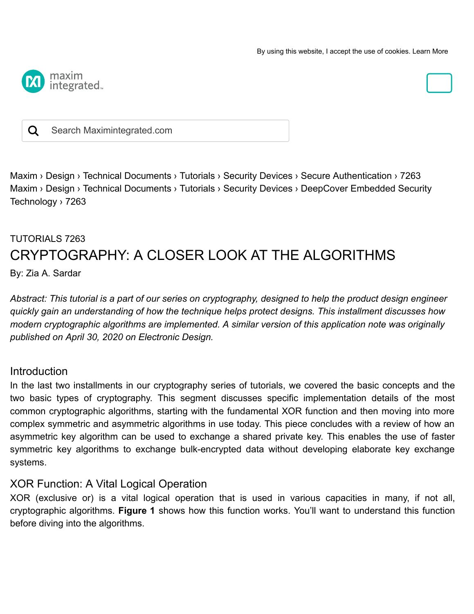

#### Q Search Maximintegrated.com

[Maxim ›](https://www.maximintegrated.com/en.html) [Design ›](https://www.maximintegrated.com/en/design.html) [Technical Documents ›](https://www.maximintegrated.com/en/design/technical-documents.html) [Tutorials](https://www.maximintegrated.com/en/design/technical-documents/index.html/tutorials/products/all-products) [› Security Devices](https://www.maximintegrated.com/en/design/technical-documents/index.html/tutorials/products/embedded-security) › [Secure Authentication](https://www.maximintegrated.com/en/design/technical-documents/index.html/tutorials/products/embedded-security/secure-authenticators) › 7263 [Maxim ›](https://www.maximintegrated.com/en.html) [Design ›](https://www.maximintegrated.com/en/design.html) [Technical Documents ›](https://www.maximintegrated.com/en/design/technical-documents.html) [Tutorials](https://www.maximintegrated.com/en/design/technical-documents/index.html/tutorials/products/all-products) [› Security Devices](https://www.maximintegrated.com/en/design/technical-documents/index.html/tutorials/products/embedded-security) [› DeepCover Embedded Security](https://www.maximintegrated.com/en/design/technical-documents/index.html/tutorials/products/embedded-security/deepcover) Technology › 7263

# TUTORIALS 7263 CRYPTOGRAPHY: A CLOSER LOOK AT THE ALGORITHMS

By: Zia A. Sardar

*Abstract: This tutorial is a part of our series on cryptography, designed to help the product design engineer quickly gain an understanding of how the technique helps protect designs. This installment discusses how modern cryptographic algorithms are implemented. A similar version of this application note was originally published on April 30, 2020 on Electronic Design.*

#### Introduction

In the last two installments in our cryptography series of tutorials, we covered the basic concepts and the two basic types of cryptography. This segment discusses specific implementation details of the most common cryptographic algorithms, starting with the fundamental XOR function and then moving into more complex symmetric and asymmetric algorithms in use today. This piece concludes with a review of how an asymmetric key algorithm can be used to exchange a shared private key. This enables the use of faster symmetric key algorithms to exchange bulk-encrypted data without developing elaborate key exchange systems.

#### XOR Function: A Vital Logical Operation

XOR (exclusive or) is a vital logical operation that is used in various capacities in many, if not all, cryptographic algorithms. **Figure 1** shows how this function works. You'll want to understand this function before diving into the algorithms.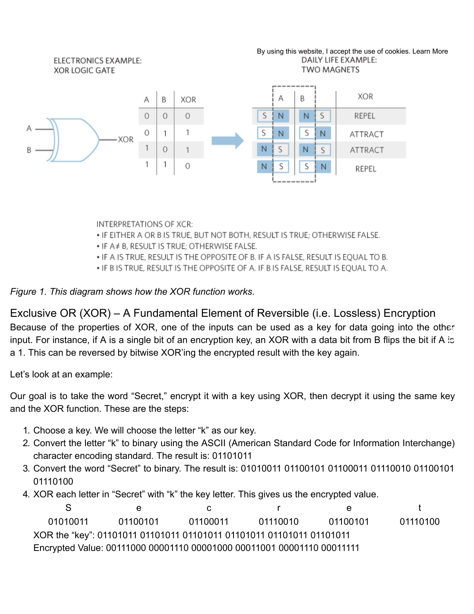

**INTERPRETATIONS OF XCR:** 

- . IF EITHER A OR B IS TRUE, BUT NOT BOTH, RESULT IS TRUE; OTHERWISE FALSE.
- IF A# B, RESULT IS TRUE; OTHERWISE FALSE.
- . IF A IS TRUE, RESULT IS THE OPPOSITE OF B. IF A IS FALSE, RESULT IS EQUAL TO B.
- . IF B IS TRUE, RESULT IS THE OPPOSITE OF A. IF B IS FALSE, RESULT IS EOUAL TO A.

#### *Figure 1. This diagram shows how the XOR function works.*

Exclusive OR (XOR) – A Fundamental Element of Reversible (i.e. Lossless) Encryption Because of the properties of XOR, one of the inputs can be used as a key for data going into the other input. For instance, if A is a single bit of an encryption key, an XOR with a data bit from B flips the bit if A is a 1. This can be reversed by bitwise XOR'ing the encrypted result with the key again.

Let's look at an example:

Our goal is to take the word "Secret," encrypt it with a key using XOR, then decrypt it using the same key and the XOR function. These are the steps:

- 1. Choose a key. We will choose the letter "k" as our key.
- 2. Convert the letter "k" to binary using the ASCII (American Standard Code for Information Interchange) character encoding standard. The result is: 01101011
- 3. Convert the word "Secret" to binary. The result is: 01010011 01100101 01100011 01110010 01100101 01110100
- 4. XOR each letter in "Secret" with "k" the key letter. This gives us the encrypted value.

See creet 01010011 01100101 01100011 01110010 01100101 01110100 XOR the "key": 01101011 01101011 01101011 01101011 01101011 01101011 Encrypted Value: 00111000 00001110 00001000 00011001 00001110 00011111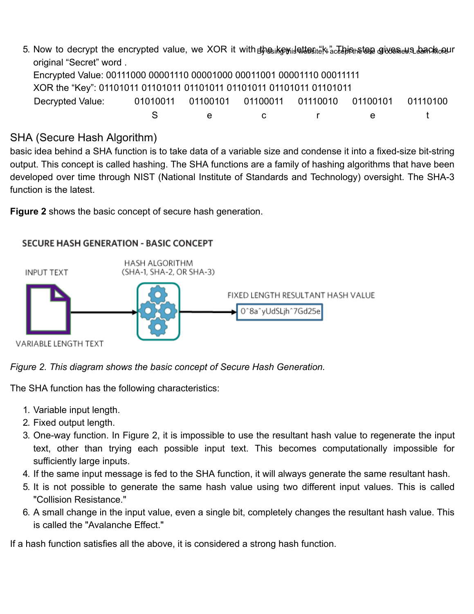5. Now to decrypt the encrypted value, we XOR it with the key letter "k." This step gives u[s back ou](https://www.maximintegrated.com/en/aboutus/legal/privacy-policy.html#cookies)[r](javascript:void(0)) By using this website, I accept the use of cookies. Learn More original "Secret" word . Encrypted Value: 00111000 00001110 00001000 00011001 00001110 00011111 XOR the "Key": 01101011 01101011 01101011 01101011 01101011 01101011 Decrypted Value: 01010011 01100101 01100011 01110010 01100101 01110100 S e c r e t

# SHA (Secure Hash Algorithm)

basic idea behind a SHA function is to take data of a variable size and condense it into a fixed-size bit-string output. This concept is called hashing. The SHA functions are a family of hashing algorithms that have been developed over time through NIST (National Institute of Standards and Technology) oversight. The SHA-3 function is the latest.

**Figure 2** shows the basic concept of secure hash generation.





The SHA function has the following characteristics:

- 1. Variable input length.
- 2. Fixed output length.
- 3. One-way function. In Figure 2, it is impossible to use the resultant hash value to regenerate the input text, other than trying each possible input text. This becomes computationally impossible for sufficiently large inputs.
- 4. If the same input message is fed to the SHA function, it will always generate the same resultant hash.
- 5. It is not possible to generate the same hash value using two different input values. This is called "Collision Resistance."
- 6. A small change in the input value, even a single bit, completely changes the resultant hash value. This is called the "Avalanche Effect."

If a hash function satisfies all the above, it is considered a strong hash function.

#### **SECURE HASH GENERATION - BASIC CONCEPT**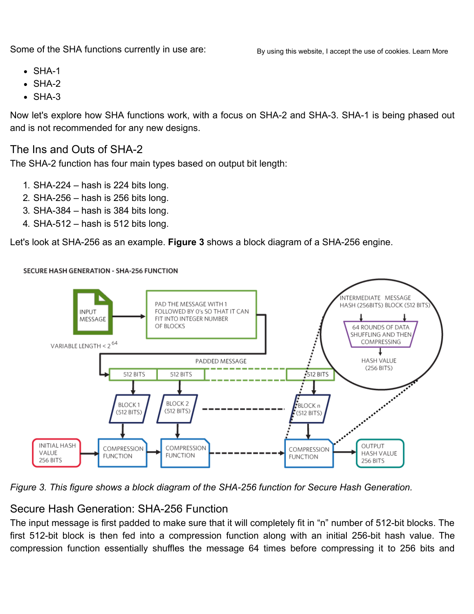Some of the SHA functions currently in use are:

- $\bullet$  SHA-1
- $\bullet$  SHA-2
- $\bullet$  SHA-3

Now let's explore how SHA functions work, with a focus on SHA-2 and SHA-3. SHA-1 is being phased out and is not recommended for any new designs.

#### The Ins and Outs of SHA-2

The SHA-2 function has four main types based on output bit length:

- 1. SHA-224 hash is 224 bits long.
- 2. SHA-256 hash is 256 bits long.
- 3. SHA-384 hash is 384 bits long.
- 4. SHA-512 hash is 512 bits long.

Let's look at SHA-256 as an example. **Figure 3** shows a block diagram of a SHA-256 engine.



**SECURE HASH GENERATION - SHA-256 FUNCTION** 

*Figure 3. This figure shows a block diagram of the SHA-256 function for Secure Hash Generation.*

### Secure Hash Generation: SHA-256 Function

The input message is first padded to make sure that it will completely fit in "n" number of 512-bit blocks. The first 512-bit block is then fed into a compression function along with an initial 256-bit hash value. The compression function essentially shuffles the message 64 times before compressing it to 256 bits and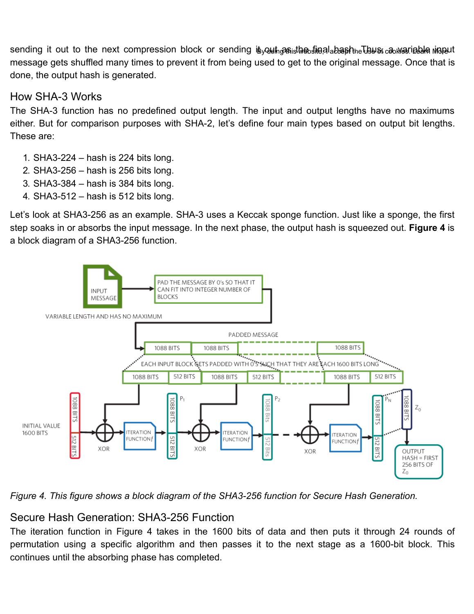sending i[t](javascript:void(0)) out to the next compression block or sending iեցակեցգել է ին ին անգենութ կամ շենառութեված անգավ message gets shuffled many times to prevent it from being used to get to the original message. Once that is done, the output hash is generated.

### How SHA-3 Works

The SHA-3 function has no predefined output length. The input and output lengths have no maximums either. But for comparison purposes with SHA-2, let's define four main types based on output bit lengths. These are:

- 1. SHA3-224 hash is 224 bits long.
- 2. SHA3-256 hash is 256 bits long.
- 3. SHA3-384 hash is 384 bits long.
- 4. SHA3-512 hash is 512 bits long.

Let's look at SHA3-256 as an example. SHA-3 uses a Keccak sponge function. Just like a sponge, the first step soaks in or absorbs the input message. In the next phase, the output hash is squeezed out. **Figure 4** is a block diagram of a SHA3-256 function.



*Figure 4. This figure shows a block diagram of the SHA3-256 function for Secure Hash Generation.*

### Secure Hash Generation: SHA3-256 Function

The iteration function in Figure 4 takes in the 1600 bits of data and then puts it through 24 rounds of permutation using a specific algorithm and then passes it to the next stage as a 1600-bit block. This continues until the absorbing phase has completed.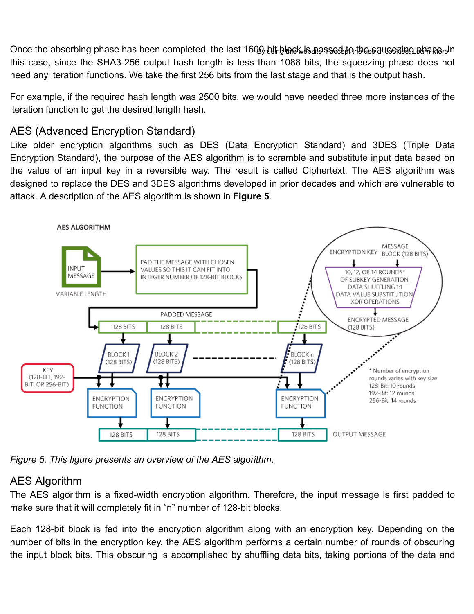O[n](javascript:void(0))ce the absorbing phase has been completed, the last 1600, bihhlan k കൈ കോർക്ക് പ്രീകേട്ടപ്പോളി കിക്കപ്പോ this case, since the SHA3-256 output hash length is less than 1088 bits, the squeezing phase does not need any iteration functions. We take the first 256 bits from the last stage and that is the output hash.

For example, if the required hash length was 2500 bits, we would have needed three more instances of the iteration function to get the desired length hash.

# AES (Advanced Encryption Standard)

Like older encryption algorithms such as DES (Data Encryption Standard) and 3DES (Triple Data Encryption Standard), the purpose of the AES algorithm is to scramble and substitute input data based on the value of an input key in a reversible way. The result is called Ciphertext. The AES algorithm was designed to replace the DES and 3DES algorithms developed in prior decades and which are vulnerable to attack. A description of the AES algorithm is shown in **Figure 5**.



*Figure 5. This figure presents an overview of the AES algorithm.*

# AES Algorithm

The AES algorithm is a fixed-width encryption algorithm. Therefore, the input message is first padded to make sure that it will completely fit in "n" number of 128-bit blocks.

Each 128-bit block is fed into the encryption algorithm along with an encryption key. Depending on the number of bits in the encryption key, the AES algorithm performs a certain number of rounds of obscuring the input block bits. This obscuring is accomplished by shuffling data bits, taking portions of the data and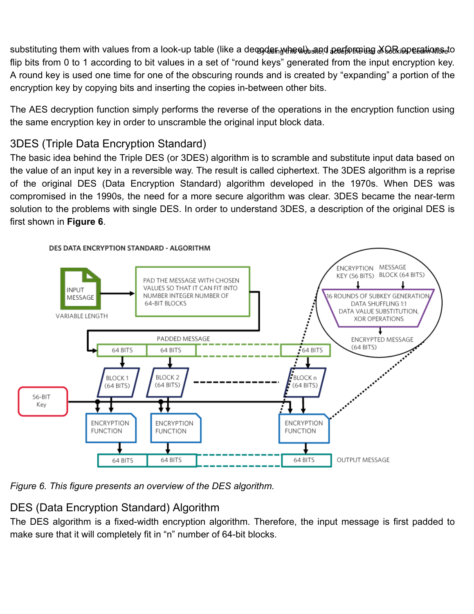substituting them with values fr[o](javascript:void(0))m a look-up table (like a deஞdenwhee), ആരി ക്ഷേണ്ട്രിങ്ങള് ക്ക്രിപ്പെട്ടെങ്കി flip bits from 0 to 1 according to bit values in a set of "round keys" generated from the input encryption key. A round key is used one time for one of the obscuring rounds and is created by "expanding" a portion of the encryption key by copying bits and inserting the copies in-between other bits.

The AES decryption function simply performs the reverse of the operations in the encryption function using the same encryption key in order to unscramble the original input block data.

# 3DES (Triple Data Encryption Standard)

The basic idea behind the Triple DES (or 3DES) algorithm is to scramble and substitute input data based on the value of an input key in a reversible way. The result is called ciphertext. The 3DES algorithm is a reprise of the original DES (Data Encryption Standard) algorithm developed in the 1970s. When DES was compromised in the 1990s, the need for a more secure algorithm was clear. 3DES became the near-term solution to the problems with single DES. In order to understand 3DES, a description of the original DES is first shown in **Figure 6**.



*Figure 6. This figure presents an overview of the DES algorithm.*

# DES (Data Encryption Standard) Algorithm

The DES algorithm is a fixed-width encryption algorithm. Therefore, the input message is first padded to make sure that it will completely fit in "n" number of 64-bit blocks.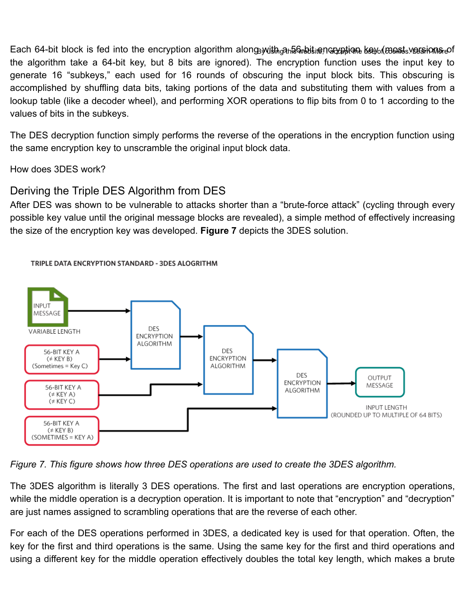Each 64-bit block is [f](javascript:void(0))ed into the encryption algorithm alonǥwith<sub>io</sub>aոՁଦି๗ෝങ്ങിയേല്ലിലേക്ക്യേ(ങ്കൈിം.veേജിമിക്ക് the algorithm take a 64-bit key, but 8 bits are ignored). The encryption function uses the input key to generate 16 "subkeys," each used for 16 rounds of obscuring the input block bits. This obscuring is accomplished by shuffling data bits, taking portions of the data and substituting them with values from a lookup table (like a decoder wheel), and performing XOR operations to flip bits from 0 to 1 according to the values of bits in the subkeys.

The DES decryption function simply performs the reverse of the operations in the encryption function using the same encryption key to unscramble the original input block data.

How does 3DES work?

## Deriving the Triple DES Algorithm from DES

After DES was shown to be vulnerable to attacks shorter than a "brute-force attack" (cycling through every possible key value until the original message blocks are revealed), a simple method of effectively increasing the size of the encryption key was developed. **Figure 7** depicts the 3DES solution.



TRIPLE DATA ENCRYPTION STANDARD - 3DES ALOGRITHM

*Figure 7. This figure shows how three DES operations are used to create the 3DES algorithm.*

The 3DES algorithm is literally 3 DES operations. The first and last operations are encryption operations, while the middle operation is a decryption operation. It is important to note that "encryption" and "decryption" are just names assigned to scrambling operations that are the reverse of each other.

For each of the DES operations performed in 3DES, a dedicated key is used for that operation. Often, the key for the first and third operations is the same. Using the same key for the first and third operations and using a different key for the middle operation effectively doubles the total key length, which makes a brute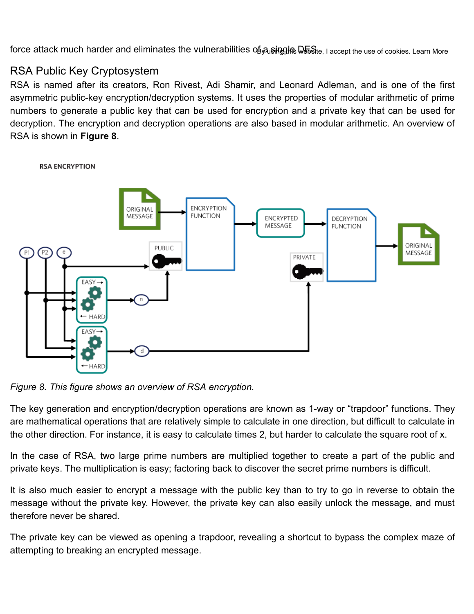force attack much harder and eliminates the vulnerabilities oந்துள்ழுக் ெடுக்ளூ். ו accept the use of cookies. Learn More

# RSA Public Key Cryptosystem

RSA is named after its creators, Ron Rivest, Adi Shamir, and Leonard Adleman, and is one of the first asymmetric public-key encryption/decryption systems. It uses the properties of modular arithmetic of prime numbers to generate a public key that can be used for encryption and a private key that can be used for decryption. The encryption and decryption operations are also based in modular arithmetic. An overview of RSA is shown in **Figure 8**.



**RSA ENCRYPTION** 

*Figure 8. This figure shows an overview of RSA encryption.*

The key generation and encryption/decryption operations are known as 1-way or "trapdoor" functions. They are mathematical operations that are relatively simple to calculate in one direction, but difficult to calculate in the other direction. For instance, it is easy to calculate times 2, but harder to calculate the square root of x.

In the case of RSA, two large prime numbers are multiplied together to create a part of the public and private keys. The multiplication is easy; factoring back to discover the secret prime numbers is difficult.

It is also much easier to encrypt a message with the public key than to try to go in reverse to obtain the message without the private key. However, the private key can also easily unlock the message, and must therefore never be shared.

The private key can be viewed as opening a trapdoor, revealing a shortcut to bypass the complex maze of attempting to breaking an encrypted message.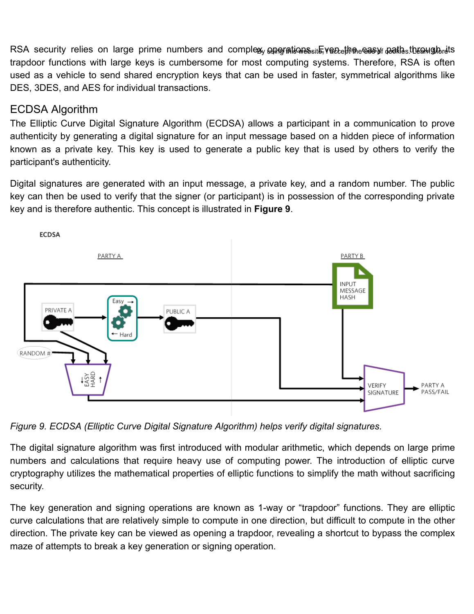RSA [s](javascript:void(0))ecurity relies on large prime numbers and complexյն գրացակամած եմե, veնեշիկան անակացներ կանական ավան անա trapdoor functions with large keys is cumbersome for most computing systems. Therefore, RSA is often used as a vehicle to send shared encryption keys that can be used in faster, symmetrical algorithms like DES, 3DES, and AES for individual transactions.

### ECDSA Algorithm

The Elliptic Curve Digital Signature Algorithm (ECDSA) allows a participant in a communication to prove authenticity by generating a digital signature for an input message based on a hidden piece of information known as a private key. This key is used to generate a public key that is used by others to verify the participant's authenticity.

Digital signatures are generated with an input message, a private key, and a random number. The public key can then be used to verify that the signer (or participant) is in possession of the corresponding private key and is therefore authentic. This concept is illustrated in **Figure 9**.



*Figure 9. ECDSA (Elliptic Curve Digital Signature Algorithm) helps verify digital signatures.*

The digital signature algorithm was first introduced with modular arithmetic, which depends on large prime numbers and calculations that require heavy use of computing power. The introduction of elliptic curve cryptography utilizes the mathematical properties of elliptic functions to simplify the math without sacrificing security.

The key generation and signing operations are known as 1-way or "trapdoor" functions. They are elliptic curve calculations that are relatively simple to compute in one direction, but difficult to compute in the other direction. The private key can be viewed as opening a trapdoor, revealing a shortcut to bypass the complex maze of attempts to break a key generation or signing operation.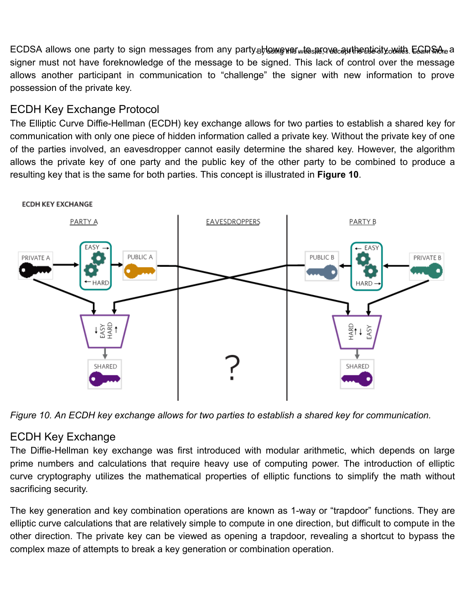ECDSA [a](javascript:void(0))llows one party to sign messages from any party.நHஔgหങ<sub>w</sub>tോை authenticity with Eவெக்ஸெ signer must not have foreknowledge of the message to be signed. This lack of control over the message allows another participant in communication to "challenge" the signer with new information to prove possession of the private key.

# ECDH Key Exchange Protocol

The Elliptic Curve Diffie-Hellman (ECDH) key exchange allows for two parties to establish a shared key for communication with only one piece of hidden information called a private key. Without the private key of one of the parties involved, an eavesdropper cannot easily determine the shared key. However, the algorithm allows the private key of one party and the public key of the other party to be combined to produce a resulting key that is the same for both parties. This concept is illustrated in **Figure 10**.



*Figure 10. An ECDH key exchange allows for two parties to establish a shared key for communication.*

# ECDH Key Exchange

The Diffie-Hellman key exchange was first introduced with modular arithmetic, which depends on large prime numbers and calculations that require heavy use of computing power. The introduction of elliptic curve cryptography utilizes the mathematical properties of elliptic functions to simplify the math without sacrificing security.

The key generation and key combination operations are known as 1-way or "trapdoor" functions. They are elliptic curve calculations that are relatively simple to compute in one direction, but difficult to compute in the other direction. The private key can be viewed as opening a trapdoor, revealing a shortcut to bypass the complex maze of attempts to break a key generation or combination operation.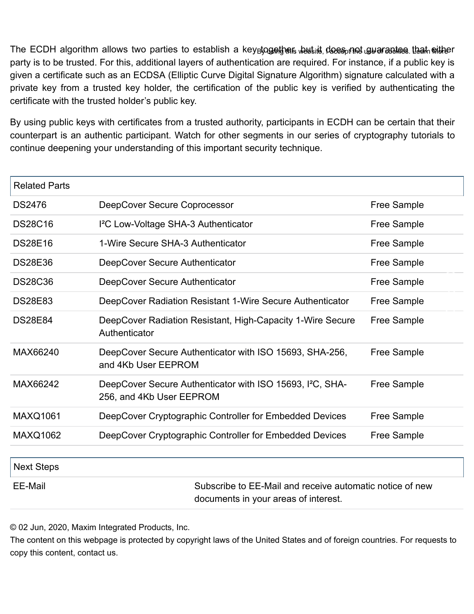The ECDH algorithm allows two parties to establish a key<sub>B</sub>together, wwt it does not guarantee [that eithe](https://www.maximintegrated.com/en/aboutus/legal/privacy-policy.html#cookies)[r](javascript:void(0)) party is to be trusted. For this, additional layers of authentication are required. For instance, if a public key is given a certificate such as an ECDSA (Elliptic Curve Digital Signature Algorithm) signature calculated with a private key from a trusted key holder, the certification of the public key is verified by authenticating the certificate with the trusted holder's public key.

By using public keys with certificates from a trusted authority, participants in ECDH can be certain that their counterpart is an authentic participant. Watch for other segments in our series of cryptography tutorials to continue deepening your understanding of this important security technique.

| <b>Related Parts</b> |                                                                                                   |                    |  |  |
|----------------------|---------------------------------------------------------------------------------------------------|--------------------|--|--|
| <b>DS2476</b>        | DeepCover Secure Coprocessor                                                                      | Free Sample        |  |  |
| <b>DS28C16</b>       | I <sup>2</sup> C Low-Voltage SHA-3 Authenticator                                                  | Free Sample        |  |  |
| <b>DS28E16</b>       | 1-Wire Secure SHA-3 Authenticator                                                                 | <b>Free Sample</b> |  |  |
| <b>DS28E36</b>       | DeepCover Secure Authenticator                                                                    | <b>Free Sample</b> |  |  |
| <b>DS28C36</b>       | DeepCover Secure Authenticator                                                                    | <b>Free Sample</b> |  |  |
| <b>DS28E83</b>       | DeepCover Radiation Resistant 1-Wire Secure Authenticator                                         | <b>Free Sample</b> |  |  |
| <b>DS28E84</b>       | DeepCover Radiation Resistant, High-Capacity 1-Wire Secure<br>Authenticator                       | <b>Free Sample</b> |  |  |
| MAX66240             | DeepCover Secure Authenticator with ISO 15693, SHA-256,<br>and 4Kb User EEPROM                    | Free Sample        |  |  |
| MAX66242             | DeepCover Secure Authenticator with ISO 15693, I <sup>2</sup> C, SHA-<br>256, and 4Kb User EEPROM | <b>Free Sample</b> |  |  |
| <b>MAXQ1061</b>      | DeepCover Cryptographic Controller for Embedded Devices                                           | Free Sample        |  |  |
| <b>MAXQ1062</b>      | DeepCover Cryptographic Controller for Embedded Devices                                           | Free Sample        |  |  |
| <b>Next Steps</b>    |                                                                                                   |                    |  |  |
| <b>EE-Mail</b>       | Subscribe to EE-Mail and receive automatic notice of new<br>documents in your areas of interest.  |                    |  |  |

© 02 Jun, 2020, Maxim Integrated Products, Inc.

The content on this webpage is protected by copyright laws of the United States and of foreign countries. For requests to copy this content, [contact](https://maximsupport.microsoftcrmportals.com/en-US/support-center/) us.